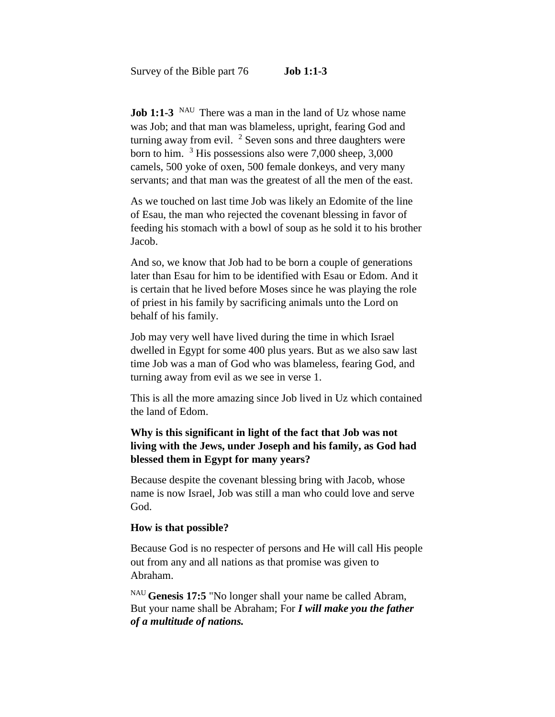**Job 1:1-3** <sup>NAU</sup> There was a man in the land of Uz whose name was Job; and that man was blameless, upright, fearing God and turning away from evil.  $2$  Seven sons and three daughters were born to him. <sup>3</sup> His possessions also were 7,000 sheep, 3,000 camels, 500 yoke of oxen, 500 female donkeys, and very many servants; and that man was the greatest of all the men of the east.

As we touched on last time Job was likely an Edomite of the line of Esau, the man who rejected the covenant blessing in favor of feeding his stomach with a bowl of soup as he sold it to his brother Jacob.

And so, we know that Job had to be born a couple of generations later than Esau for him to be identified with Esau or Edom. And it is certain that he lived before Moses since he was playing the role of priest in his family by sacrificing animals unto the Lord on behalf of his family.

Job may very well have lived during the time in which Israel dwelled in Egypt for some 400 plus years. But as we also saw last time Job was a man of God who was blameless, fearing God, and turning away from evil as we see in verse 1.

This is all the more amazing since Job lived in Uz which contained the land of Edom.

# **Why is this significant in light of the fact that Job was not living with the Jews, under Joseph and his family, as God had blessed them in Egypt for many years?**

Because despite the covenant blessing bring with Jacob, whose name is now Israel, Job was still a man who could love and serve God.

#### **How is that possible?**

Because God is no respecter of persons and He will call His people out from any and all nations as that promise was given to Abraham.

NAU **Genesis 17:5** "No longer shall your name be called Abram, But your name shall be Abraham; For *I will make you the father of a multitude of nations.*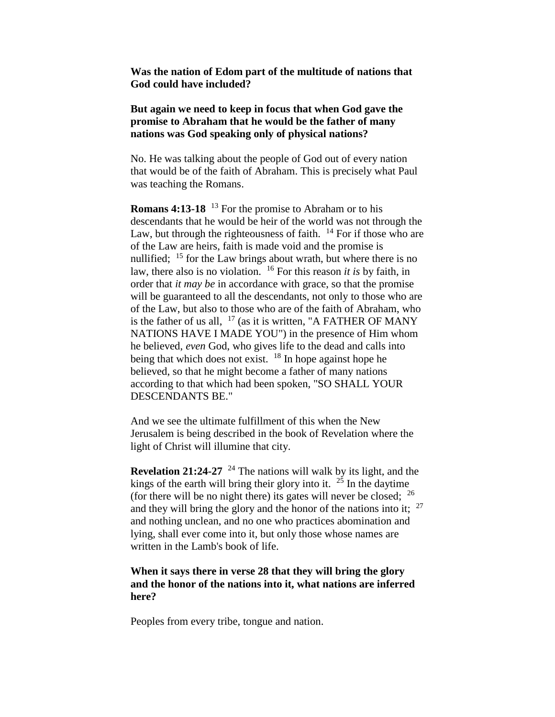**Was the nation of Edom part of the multitude of nations that God could have included?**

## **But again we need to keep in focus that when God gave the promise to Abraham that he would be the father of many nations was God speaking only of physical nations?**

No. He was talking about the people of God out of every nation that would be of the faith of Abraham. This is precisely what Paul was teaching the Romans.

**Romans 4:13-18** <sup>13</sup> For the promise to Abraham or to his descendants that he would be heir of the world was not through the Law, but through the righteousness of faith.  $14$  For if those who are of the Law are heirs, faith is made void and the promise is nullified; <sup>15</sup> for the Law brings about wrath, but where there is no law, there also is no violation. <sup>16</sup> For this reason *it is* by faith, in order that *it may be* in accordance with grace, so that the promise will be guaranteed to all the descendants, not only to those who are of the Law, but also to those who are of the faith of Abraham, who is the father of us all,  $17$  (as it is written, "A FATHER OF MANY NATIONS HAVE I MADE YOU") in the presence of Him whom he believed, *even* God, who gives life to the dead and calls into being that which does not exist.  $18$  In hope against hope he believed, so that he might become a father of many nations according to that which had been spoken, "SO SHALL YOUR DESCENDANTS BE."

And we see the ultimate fulfillment of this when the New Jerusalem is being described in the book of Revelation where the light of Christ will illumine that city.

**Revelation 21:24-27** <sup>24</sup> The nations will walk by its light, and the kings of the earth will bring their glory into it.  $2^{\frac{3}{2}}$  In the daytime (for there will be no night there) its gates will never be closed;  $^{26}$ and they will bring the glory and the honor of the nations into it;  $27$ and nothing unclean, and no one who practices abomination and lying, shall ever come into it, but only those whose names are written in the Lamb's book of life.

## **When it says there in verse 28 that they will bring the glory and the honor of the nations into it, what nations are inferred here?**

Peoples from every tribe, tongue and nation.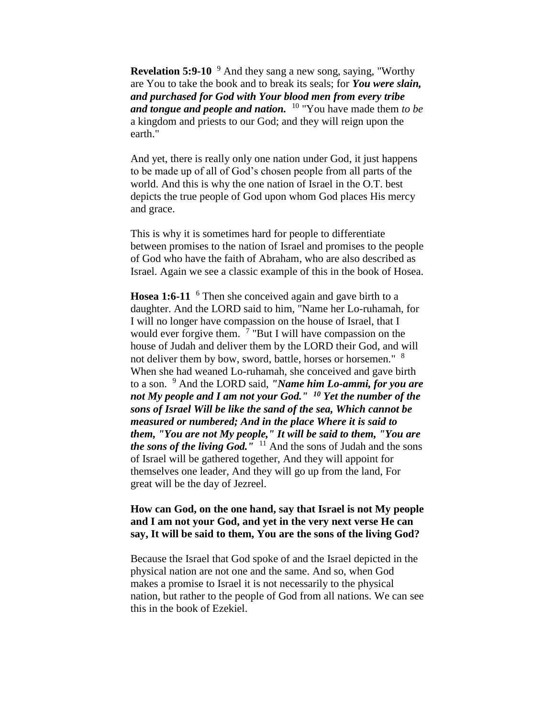**Revelation 5:9-10** <sup>9</sup> And they sang a new song, saying, "Worthy" are You to take the book and to break its seals; for *You were slain, and purchased for God with Your blood men from every tribe and tongue and people and nation.* <sup>10</sup> "You have made them *to be*  a kingdom and priests to our God; and they will reign upon the earth."

And yet, there is really only one nation under God, it just happens to be made up of all of God's chosen people from all parts of the world. And this is why the one nation of Israel in the O.T. best depicts the true people of God upon whom God places His mercy and grace.

This is why it is sometimes hard for people to differentiate between promises to the nation of Israel and promises to the people of God who have the faith of Abraham, who are also described as Israel. Again we see a classic example of this in the book of Hosea.

**Hosea 1:6-11** <sup>6</sup> Then she conceived again and gave birth to a daughter. And the LORD said to him, "Name her Lo-ruhamah, for I will no longer have compassion on the house of Israel, that I would ever forgive them.  $7$  "But I will have compassion on the house of Judah and deliver them by the LORD their God, and will not deliver them by bow, sword, battle, horses or horsemen." <sup>8</sup> When she had weaned Lo-ruhamah, she conceived and gave birth to a son. <sup>9</sup> And the LORD said, *"Name him Lo-ammi, for you are not My people and I am not your God." <sup>10</sup> Yet the number of the sons of Israel Will be like the sand of the sea, Which cannot be measured or numbered; And in the place Where it is said to them, "You are not My people," It will be said to them, "You are the sons of the living God."* <sup>11</sup> And the sons of Judah and the sons of Israel will be gathered together, And they will appoint for themselves one leader, And they will go up from the land, For great will be the day of Jezreel.

### **How can God, on the one hand, say that Israel is not My people and I am not your God, and yet in the very next verse He can say, It will be said to them, You are the sons of the living God?**

Because the Israel that God spoke of and the Israel depicted in the physical nation are not one and the same. And so, when God makes a promise to Israel it is not necessarily to the physical nation, but rather to the people of God from all nations. We can see this in the book of Ezekiel.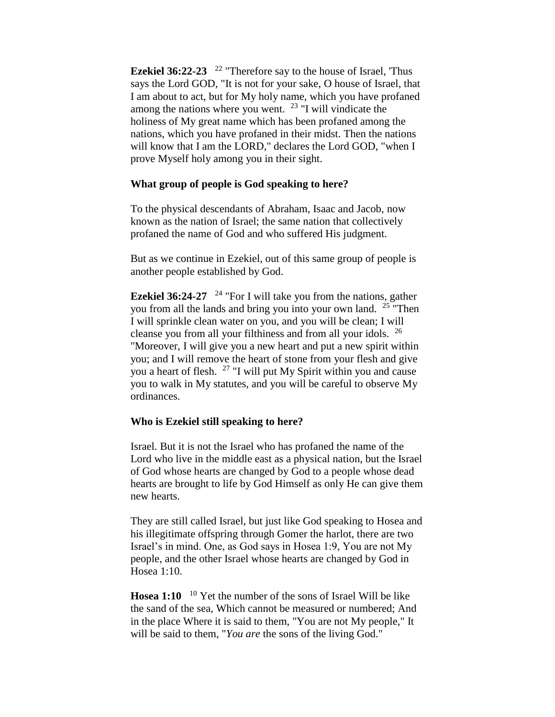**Ezekiel 36:22-23**  <sup>22</sup> "Therefore say to the house of Israel, 'Thus says the Lord GOD, "It is not for your sake, O house of Israel, that I am about to act, but for My holy name, which you have profaned among the nations where you went.  $23$  "I will vindicate the holiness of My great name which has been profaned among the nations, which you have profaned in their midst. Then the nations will know that I am the LORD," declares the Lord GOD, "when I prove Myself holy among you in their sight.

### **What group of people is God speaking to here?**

To the physical descendants of Abraham, Isaac and Jacob, now known as the nation of Israel; the same nation that collectively profaned the name of God and who suffered His judgment.

But as we continue in Ezekiel, out of this same group of people is another people established by God.

**Ezekiel 36:24-27** <sup>24</sup> "For I will take you from the nations, gather you from all the lands and bring you into your own land. <sup>25</sup> "Then I will sprinkle clean water on you, and you will be clean; I will cleanse you from all your filthiness and from all your idols. <sup>26</sup> "Moreover, I will give you a new heart and put a new spirit within you; and I will remove the heart of stone from your flesh and give you a heart of flesh. <sup>27</sup> "I will put My Spirit within you and cause you to walk in My statutes, and you will be careful to observe My ordinances.

#### **Who is Ezekiel still speaking to here?**

Israel. But it is not the Israel who has profaned the name of the Lord who live in the middle east as a physical nation, but the Israel of God whose hearts are changed by God to a people whose dead hearts are brought to life by God Himself as only He can give them new hearts.

They are still called Israel, but just like God speaking to Hosea and his illegitimate offspring through Gomer the harlot, there are two Israel's in mind. One, as God says in Hosea 1:9, You are not My people, and the other Israel whose hearts are changed by God in Hosea 1:10.

Hosea 1:10 <sup>10</sup> Yet the number of the sons of Israel Will be like the sand of the sea, Which cannot be measured or numbered; And in the place Where it is said to them, "You are not My people," It will be said to them, "*You are* the sons of the living God."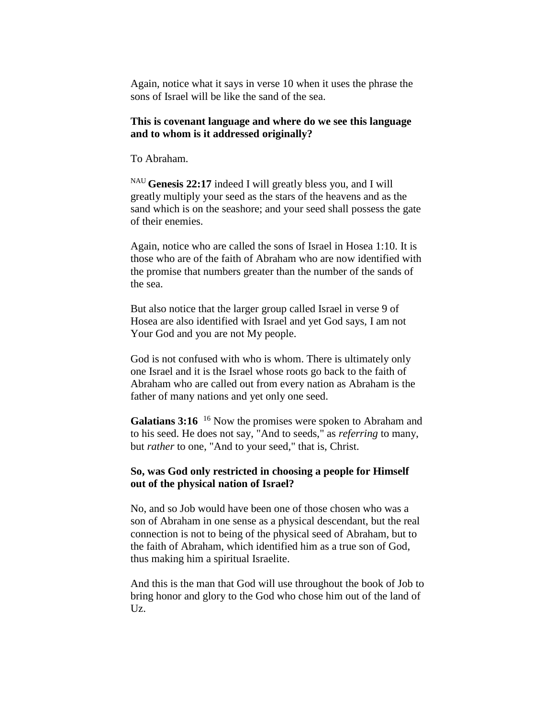Again, notice what it says in verse 10 when it uses the phrase the sons of Israel will be like the sand of the sea.

#### **This is covenant language and where do we see this language and to whom is it addressed originally?**

To Abraham.

NAU **Genesis 22:17** indeed I will greatly bless you, and I will greatly multiply your seed as the stars of the heavens and as the sand which is on the seashore; and your seed shall possess the gate of their enemies.

Again, notice who are called the sons of Israel in Hosea 1:10. It is those who are of the faith of Abraham who are now identified with the promise that numbers greater than the number of the sands of the sea.

But also notice that the larger group called Israel in verse 9 of Hosea are also identified with Israel and yet God says, I am not Your God and you are not My people.

God is not confused with who is whom. There is ultimately only one Israel and it is the Israel whose roots go back to the faith of Abraham who are called out from every nation as Abraham is the father of many nations and yet only one seed.

Galatians 3:16<sup>16</sup> Now the promises were spoken to Abraham and to his seed. He does not say, "And to seeds," as *referring* to many, but *rather* to one, "And to your seed," that is, Christ.

#### **So, was God only restricted in choosing a people for Himself out of the physical nation of Israel?**

No, and so Job would have been one of those chosen who was a son of Abraham in one sense as a physical descendant, but the real connection is not to being of the physical seed of Abraham, but to the faith of Abraham, which identified him as a true son of God, thus making him a spiritual Israelite.

And this is the man that God will use throughout the book of Job to bring honor and glory to the God who chose him out of the land of Uz.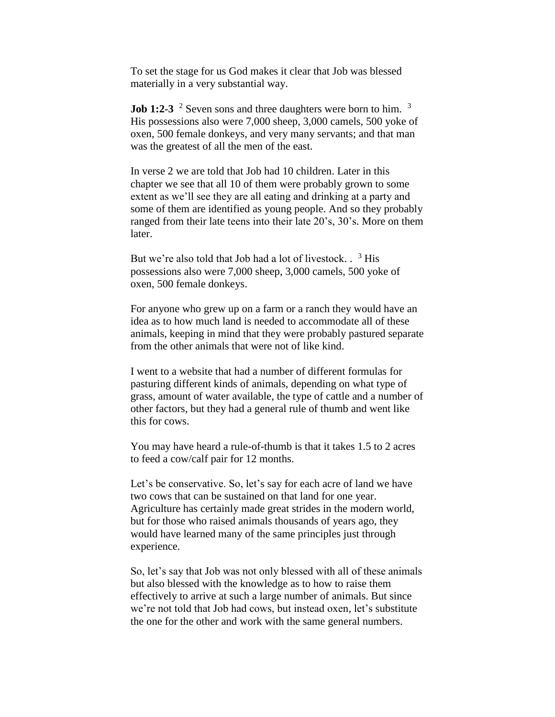To set the stage for us God makes it clear that Job was blessed materially in a very substantial way.

**Job 1:2-3** <sup>2</sup> Seven sons and three daughters were born to him. <sup>3</sup> His possessions also were 7,000 sheep, 3,000 camels, 500 yoke of oxen, 500 female donkeys, and very many servants; and that man was the greatest of all the men of the east.

In verse 2 we are told that Job had 10 children. Later in this chapter we see that all 10 of them were probably grown to some extent as we'll see they are all eating and drinking at a party and some of them are identified as young people. And so they probably ranged from their late teens into their late 20's, 30's. More on them later.

But we're also told that Job had a lot of livestock. . <sup>3</sup> His possessions also were 7,000 sheep, 3,000 camels, 500 yoke of oxen, 500 female donkeys.

For anyone who grew up on a farm or a ranch they would have an idea as to how much land is needed to accommodate all of these animals, keeping in mind that they were probably pastured separate from the other animals that were not of like kind.

I went to a website that had a number of different formulas for pasturing different kinds of animals, depending on what type of grass, amount of water available, the type of cattle and a number of other factors, but they had a general rule of thumb and went like this for cows.

You may have heard a rule-of-thumb is that it takes 1.5 to 2 acres to feed a cow/calf pair for 12 months.

Let's be conservative. So, let's say for each acre of land we have two cows that can be sustained on that land for one year. Agriculture has certainly made great strides in the modern world, but for those who raised animals thousands of years ago, they would have learned many of the same principles just through experience.

So, let's say that Job was not only blessed with all of these animals but also blessed with the knowledge as to how to raise them effectively to arrive at such a large number of animals. But since we're not told that Job had cows, but instead oxen, let's substitute the one for the other and work with the same general numbers.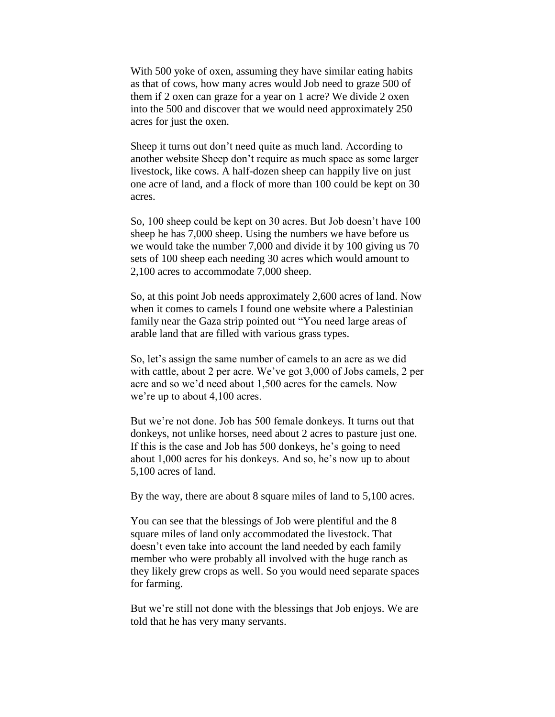With 500 yoke of oxen, assuming they have similar eating habits as that of cows, how many acres would Job need to graze 500 of them if 2 oxen can graze for a year on 1 acre? We divide 2 oxen into the 500 and discover that we would need approximately 250 acres for just the oxen.

Sheep it turns out don't need quite as much land. According to another website Sheep don't require as much space as some larger livestock, like cows. A half-dozen sheep can happily live on just one acre of land, and a flock of more than 100 could be kept on 30 acres.

So, 100 sheep could be kept on 30 acres. But Job doesn't have 100 sheep he has 7,000 sheep. Using the numbers we have before us we would take the number 7,000 and divide it by 100 giving us 70 sets of 100 sheep each needing 30 acres which would amount to 2,100 acres to accommodate 7,000 sheep.

So, at this point Job needs approximately 2,600 acres of land. Now when it comes to camels I found one website where a Palestinian family near the Gaza strip pointed out "You need large areas of arable land that are filled with various grass types.

So, let's assign the same number of camels to an acre as we did with cattle, about 2 per acre. We've got 3,000 of Jobs camels, 2 per acre and so we'd need about 1,500 acres for the camels. Now we're up to about 4,100 acres.

But we're not done. Job has 500 female donkeys. It turns out that donkeys, not unlike horses, need about 2 acres to pasture just one. If this is the case and Job has 500 donkeys, he's going to need about 1,000 acres for his donkeys. And so, he's now up to about 5,100 acres of land.

By the way, there are about 8 square miles of land to 5,100 acres.

You can see that the blessings of Job were plentiful and the 8 square miles of land only accommodated the livestock. That doesn't even take into account the land needed by each family member who were probably all involved with the huge ranch as they likely grew crops as well. So you would need separate spaces for farming.

But we're still not done with the blessings that Job enjoys. We are told that he has very many servants.